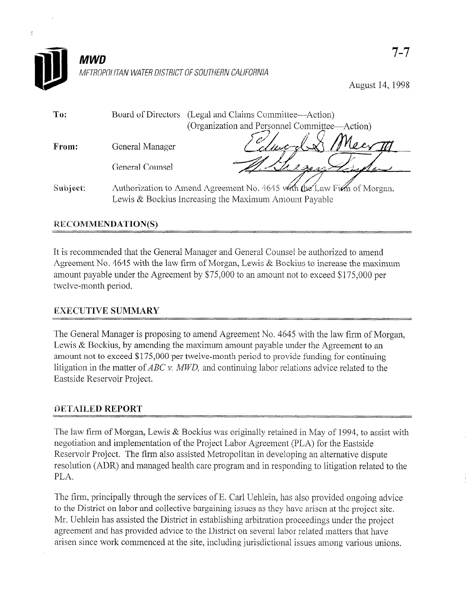

August 14,199s

| To:      |                 | Board of Directors (Legal and Claims Committee—Action)                                                                            |
|----------|-----------------|-----------------------------------------------------------------------------------------------------------------------------------|
|          |                 | (Organization and Personnel Committee—Action)                                                                                     |
| From:    | General Manager |                                                                                                                                   |
|          | General Counsel | 2301                                                                                                                              |
| Subject: |                 | Authorization to Amend Agreement No. 4645 with the Law Firm of Morgan.<br>Lewis $&$ Bockius Increasing the Maximum Amount Payable |

## **RECOMMENDATION(S)**

K

It is recommended that the General Manager and General Counsel be authorized to amend Agreement No. 4645 with the law firm of Morgan, Lewis & Bockius to increase the maximum amount payable under the Agreement by \$75,000 to an amount not to exceed \$175,000 per twelve-month period.

## **EXECUTIVE SUMMARY**

 $T$  General Manager is proposing to a mend  $\alpha$  and  $\alpha$ Let us believe manager is proposing to amend regressment two. 4045 with the faw than 01 pic.  $\alpha$  becauses, by among the maximum amount payable under the Agreement to an  $\frac{1}{2}$  and the matter of  $\frac{1}{2}$ ,  $\frac{1}{2}$ ,  $\frac{1}{2}$ ,  $\frac{1}{2}$ ,  $\frac{1}{2}$ ,  $\frac{1}{2}$ ,  $\frac{1}{2}$ ,  $\frac{1}{2}$ ,  $\frac{1}{2}$ ,  $\frac{1}{2}$ ,  $\frac{1}{2}$ ,  $\frac{1}{2}$ ,  $\frac{1}{2}$ ,  $\frac{1}{2}$ ,  $\frac{1}{2}$ ,  $\frac{1}{2}$ ,  $\frac{1}{2}$ ,  $\frac{1}{$ litigation in the matter of  $ABC$  v.  $MWD$ , and continuing labor relations advice related to the Eastside Reservoir Project.

## DETAILED REPORT

The law firm of Morgan, Lewis  $\alpha$  Bocklus was originally retained in May of 1994, to a negotiation and implementation of the Project Labor Agreement (PLA) for the Eastside Reservoir Project. The firm also assisted Metropolitan in developing an alternative dispute resolution (ADR) and managed health care program and in responding to litigation related to the PLA.

The firm, principally through the services of E. Carl Uehlein, has also provided ongoing advice. to the District on labor and collective bargaining issues as they have arisen at the project site. Mr. Uehlein has assisted the District in establishing arbitration proceedings under the project agreement and has provided advice to the District on several labor related matters that have arisen since work commenced at the site, including jurisdictional issues among various unions.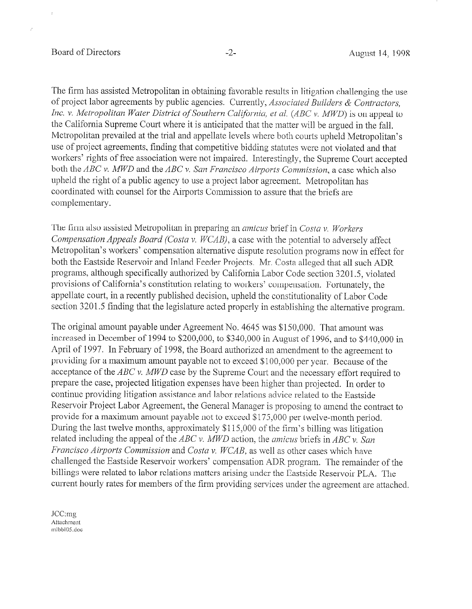### Board of Directors -2- August 14, 1998

ż

The firm has assisted Metropolitan in obtaining favorable results in litigation challenging the use of project labor agreements by public agencies. Currently, Associated Builders  $\&$  Contractors. Inc. v. Metropolitan Water District of Southern California, et al. (ABC v. MWD) is on appeal to the California Supreme Court where it is anticipated that the matter will be argued in the fall. Metropolitan prevailed at the trial and appellate levels where both courts upheld Metropolitan's use of project agreements, finding that competitive bidding statutes were not violated and that workers' rights of free association were not impaired. Interestingly, the Supreme Court accepted both the  $ABC$  v. MWD and the  $ABC$  v. San Francisco Airports Commission, a case which also upheld the right of a public agency to use a project labor agreement. Metropolitan has coordinated with counsel for the Airports Commission to assure that the briefs are complementary.

The firm also assisted Metropolitan in preparing an *amicus* brief in *Costa v. Workers* Compensation Appeals Board (Costa v.  $WCAB$ ), a case with the potential to adversely affect Metropolitan's workers' compensation alternative dispute resolution programs now in effect for both the Eastside Reservoir and Inland Feeder Projects. Mr. Costa alleged that all such ADR programs, although specifically authorized by California Labor Code section 3201.5, violated provisions of California's constitution relating to workers' compensation. Fortunately, the appellate court, in a recently published decision, upheld the constitutionality of Labor Code section 3201.5 finding that the legislature acted properly in establishing the alternative program.

The original amount payable under Agreement No. 4645 was \$150,000. That amount was increased in December of 1994 to \$200,000, to \$340,000 in August of 1996, and to \$440,000 in April of 1997. In February of 1998, the Board authorized an amendment to the agreement to providing for a maximum amount payable not to exceed \$100,000 per year. Because of the acceptance of the  $ABC$  v. MWD case by the Supreme Court and the necessary effort required to prepare the case, projected litigation expenses have been higher than projected. In order to continue providing litigation assistance and labor relations advice related to the Eastside Reservoir Project Labor Agreement, the General Manager is proposing to amend the contract to provide for a maximum amount payable not to exceed \$175,000 per twelve-month period. During the last twelve months, approximately \$115,000 of the firm's billing was litigation related including the appeal of the ABC v. MWD action, the amicus briefs in ABC v. San Francisco Airports Commission and Costa v. WCAB, as well as other cases which have challenged the Eastside Reservoir workers' compensation ADR program. The remainder of the billings were related to labor relations matters arising under the Eastside Reservoir PLA. The current hourly rates for members of the firm providing services under the agreement are attached.

.Icc:mg Attachment nllbbl05.doc